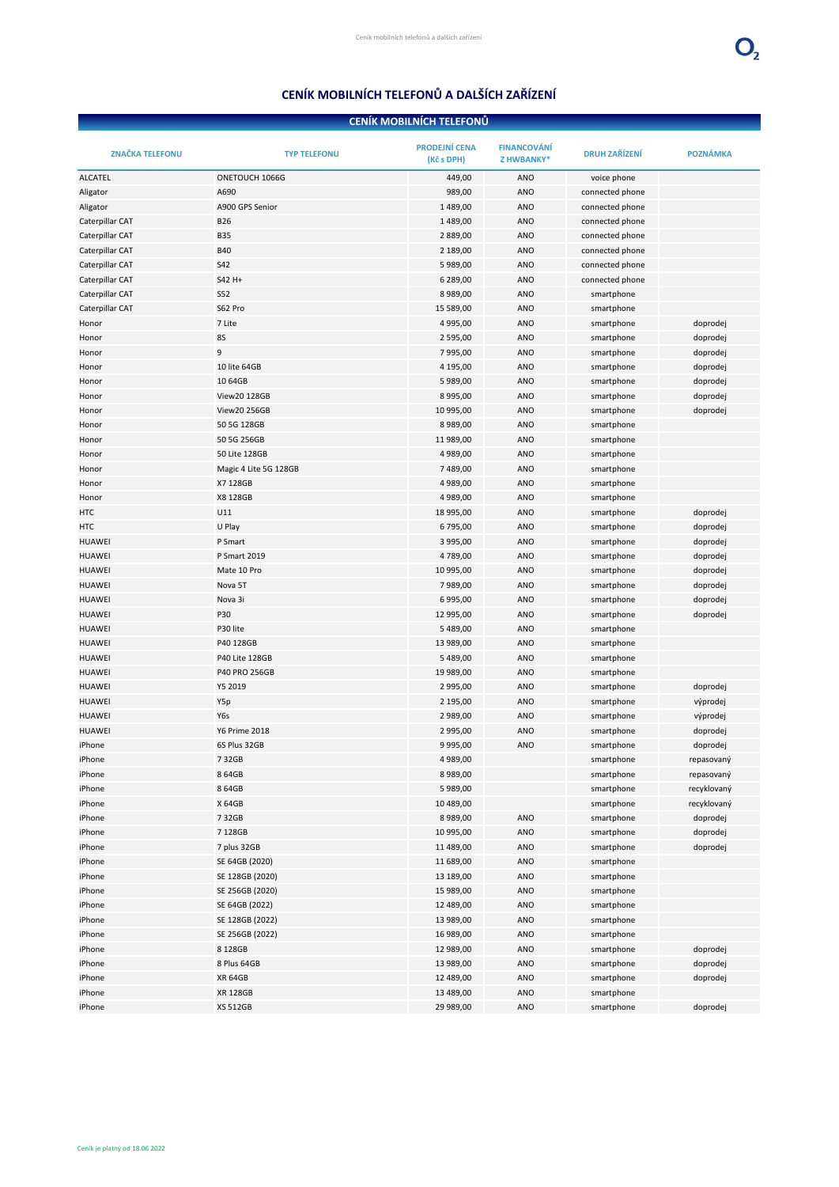

# **CENÍK MOBILNÍCH TELEFONŮ A DALŠÍCH ZAŘÍZENÍ**

# **CENÍK MOBILNÍCH TELEFONŮ**

| <b>ZNAČKA TELEFONU</b> | <b>TYP TELEFONU</b>   | <b>PRODEJNÍ CENA</b><br>(Kč s DPH) | <b>FINANCOVÁNÍ</b><br><b>Z HWBANKY*</b> | <b>DRUH ZAŘÍZENÍ</b> | <b>POZNÁMKA</b> |
|------------------------|-----------------------|------------------------------------|-----------------------------------------|----------------------|-----------------|
| ALCATEL                | ONETOUCH 1066G        | 449,00                             | <b>ANO</b>                              | voice phone          |                 |
| Aligator               | A690                  | 989,00                             | <b>ANO</b>                              | connected phone      |                 |
| Aligator               | A900 GPS Senior       | 1 489,00                           | <b>ANO</b>                              | connected phone      |                 |
| Caterpillar CAT        | <b>B26</b>            | 1 489,00                           | <b>ANO</b>                              | connected phone      |                 |
| Caterpillar CAT        | <b>B35</b>            | 2 889,00                           | <b>ANO</b>                              | connected phone      |                 |
| Caterpillar CAT        | <b>B40</b>            | 2 189,00                           | <b>ANO</b>                              | connected phone      |                 |
| Caterpillar CAT        | S42                   | 5989,00                            | <b>ANO</b>                              | connected phone      |                 |
| Caterpillar CAT        | S42 H+                | 6 289,00                           | ANO                                     | connected phone      |                 |
| Caterpillar CAT        | S52                   | 8 989,00                           | ANO                                     | smartphone           |                 |
|                        |                       |                                    | <b>ANO</b>                              |                      |                 |
| Caterpillar CAT        | S62 Pro               | 15 589,00                          |                                         | smartphone           |                 |
| Honor                  | 7 Lite                | 4 9 9 5 , 0 0                      | <b>ANO</b>                              | smartphone           | doprodej        |
| Honor                  | 8S                    | 2 595,00                           | <b>ANO</b>                              | smartphone           | doprodej        |
| Honor                  | 9                     | 7995,00                            | <b>ANO</b>                              | smartphone           | doprodej        |
| Honor                  | 10 lite 64GB          | 4 195,00                           | <b>ANO</b>                              | smartphone           | doprodej        |
| Honor                  | 10 64GB               | 5989,00                            | <b>ANO</b>                              | smartphone           | doprodej        |
| Honor                  | <b>View20 128GB</b>   | 8 9 9 5 ,00                        | ANO                                     | smartphone           | doprodej        |
| Honor                  | <b>View20 256GB</b>   | 10 995,00                          | <b>ANO</b>                              | smartphone           | doprodej        |
| Honor                  | 50 5G 128GB           | 8 989,00                           | <b>ANO</b>                              | smartphone           |                 |
| Honor                  | 50 5G 256GB           | 11 989,00                          | ANO                                     | smartphone           |                 |
| Honor                  | 50 Lite 128GB         | 4 989,00                           | <b>ANO</b>                              | smartphone           |                 |
| Honor                  | Magic 4 Lite 5G 128GB | 7489,00                            | <b>ANO</b>                              | smartphone           |                 |
| Honor                  | X7 128GB              | 4 989,00                           | <b>ANO</b>                              | smartphone           |                 |
| Honor                  | <b>X8 128GB</b>       | 4 989,00                           | <b>ANO</b>                              | smartphone           |                 |
| HTC                    | U11                   | 18 995,00                          | <b>ANO</b>                              | smartphone           | doprodej        |
|                        |                       |                                    |                                         |                      |                 |
| <b>HTC</b>             | U Play                | 6795,00                            | <b>ANO</b>                              | smartphone           | doprodej        |
| <b>HUAWEI</b>          | P Smart               | 3 995,00                           | ANO                                     | smartphone           | doprodej        |
| <b>HUAWEI</b>          | P Smart 2019          | 4789,00                            | <b>ANO</b>                              | smartphone           | doprodej        |
| <b>HUAWEI</b>          | Mate 10 Pro           | 10 995,00                          | <b>ANO</b>                              | smartphone           | doprodej        |
| <b>HUAWEI</b>          | Nova 5T               | 7989,00                            | <b>ANO</b>                              | smartphone           | doprodej        |
| <b>HUAWEI</b>          | Nova 3i               | 6 995,00                           | <b>ANO</b>                              | smartphone           | doprodej        |
| <b>HUAWEI</b>          | P30                   | 12 995,00                          | <b>ANO</b>                              | smartphone           | doprodej        |
| <b>HUAWEI</b>          | P30 lite              | 5 489,00                           | <b>ANO</b>                              | smartphone           |                 |
| <b>HUAWEI</b>          | P40 128GB             | 13 989,00                          | ANO                                     | smartphone           |                 |
| <b>HUAWEI</b>          | P40 Lite 128GB        | 5 489,00                           | <b>ANO</b>                              | smartphone           |                 |
| <b>HUAWEI</b>          | <b>P40 PRO 256GB</b>  | 19 989,00                          | <b>ANO</b>                              | smartphone           |                 |
| <b>HUAWEI</b>          | Y5 2019               | 2 995,00                           | <b>ANO</b>                              | smartphone           | doprodej        |
| <b>HUAWEI</b>          | Y5p                   | 2 195,00                           | <b>ANO</b>                              | smartphone           | výprodej        |
| <b>HUAWEI</b>          | Y6s                   | 2 989,00                           | <b>ANO</b>                              | smartphone           | výprodej        |
| <b>HUAWEI</b>          | <b>Y6 Prime 2018</b>  | 2 995,00                           | <b>ANO</b>                              | smartphone           | doprodej        |
| iPhone                 | 6S Plus 32GB          | 9 9 9 5,00                         | <b>ANO</b>                              | smartphone           | doprodej        |
| iPhone                 | 732GB                 | 4 989,00                           |                                         | smartphone           | repasovaný      |
|                        |                       |                                    |                                         |                      |                 |
| iPhone                 | 864GB                 | 8 9 8 9,00                         |                                         | smartphone           | repasovaný      |
| iPhone                 | 864GB                 | 5 989,00                           |                                         | smartphone           | recyklovaný     |
| iPhone                 | X 64GB                | 10 489,00                          |                                         | smartphone           | recyklovaný     |
| iPhone                 | 732GB                 | 8 989,00                           | ANO                                     | smartphone           | doprodej        |
| iPhone                 | 7128GB                | 10 995,00                          | ANO                                     | smartphone           | doprodej        |
| iPhone                 | 7 plus 32GB           | 11 489,00                          | ANO                                     | smartphone           | doprodej        |
| iPhone                 | SE 64GB (2020)        | 11 689,00                          | ANO                                     | smartphone           |                 |
| iPhone                 | SE 128GB (2020)       | 13 189,00                          | ANO                                     | smartphone           |                 |
| iPhone                 | SE 256GB (2020)       | 15 989,00                          | ANO                                     | smartphone           |                 |
| iPhone                 | SE 64GB (2022)        | 12 489,00                          | ANO                                     | smartphone           |                 |
| iPhone                 | SE 128GB (2022)       | 13 989,00                          | ANO                                     | smartphone           |                 |
| iPhone                 | SE 256GB (2022)       | 16 989,00                          | ANO                                     | smartphone           |                 |
| iPhone                 | 8128GB                | 12 989,00                          | ANO                                     | smartphone           | doprodej        |
| iPhone                 | 8 Plus 64GB           | 13 989,00                          | ANO                                     | smartphone           | doprodej        |
| iPhone                 | <b>XR 64GB</b>        | 12 489,00                          | ANO                                     | smartphone           | doprodej        |
|                        | <b>XR 128GB</b>       |                                    |                                         |                      |                 |
| iPhone                 |                       | 13 489,00                          | <b>ANO</b>                              | smartphone           |                 |
| iPhone                 | <b>XS 512GB</b>       | 29 989,00                          | ANO                                     | smartphone           | doprodej        |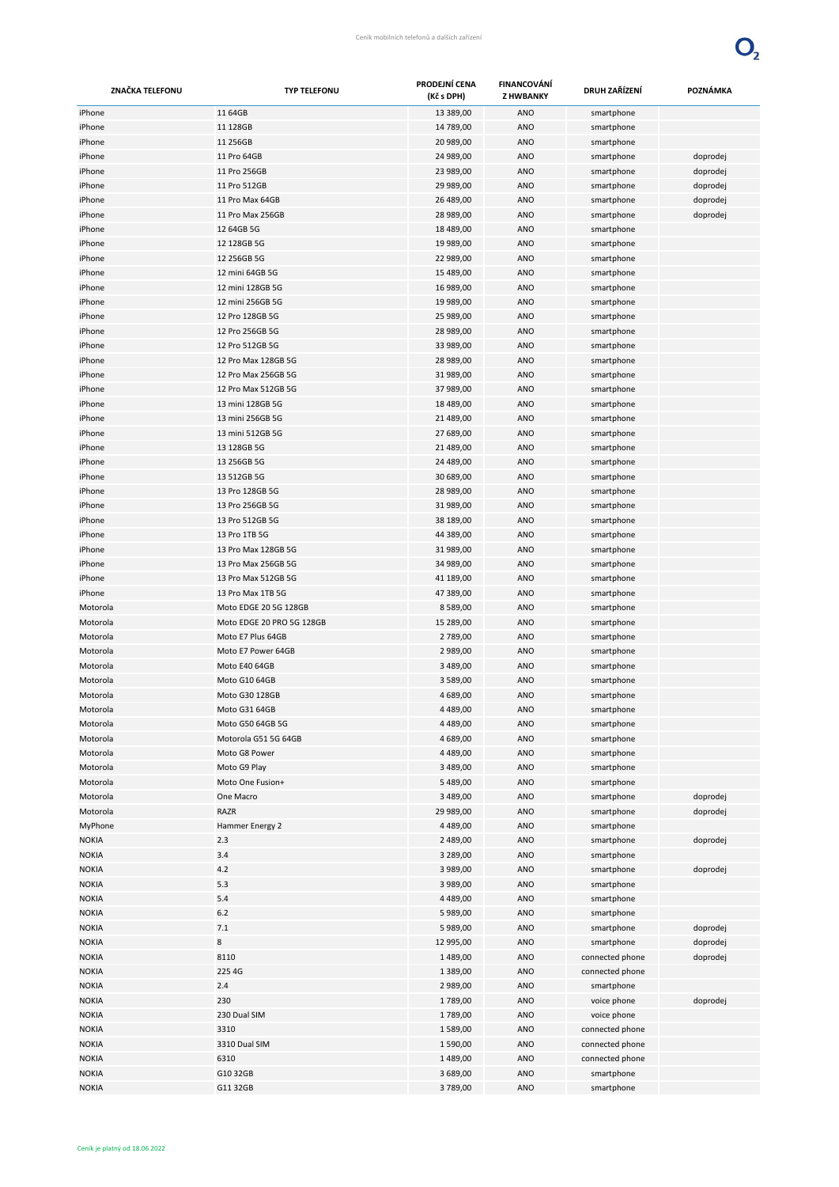

| ZNAČKA TELEFONU              | <b>TYP TELEFONU</b>                        | PRODEJNÍ CENA<br>(Kč s DPH) | <b>FINANCOVÁNÍ</b><br><b>Z HWBANKY</b> | DRUH ZAŘÍZENÍ                      | POZNÁMKA |
|------------------------------|--------------------------------------------|-----------------------------|----------------------------------------|------------------------------------|----------|
| iPhone                       | 11 64GB                                    | 13 389,00                   | <b>ANO</b>                             | smartphone                         |          |
| iPhone                       | 11 128GB                                   | 14 789,00                   | <b>ANO</b>                             | smartphone                         |          |
| iPhone                       | 11 256GB                                   | 20 989,00                   | <b>ANO</b>                             | smartphone                         |          |
| iPhone                       | 11 Pro 64GB                                | 24 989,00                   | ANO                                    | smartphone                         | doprodej |
| iPhone                       | 11 Pro 256GB                               | 23 989,00                   | <b>ANO</b>                             | smartphone                         | doprodej |
| iPhone                       | 11 Pro 512GB                               | 29 989,00                   | <b>ANO</b>                             | smartphone                         | doprodej |
| iPhone                       | 11 Pro Max 64GB                            | 26 489,00                   | <b>ANO</b>                             | smartphone                         | doprodej |
| iPhone                       | 11 Pro Max 256GB                           | 28 989,00                   | <b>ANO</b>                             | smartphone                         | doprodej |
| iPhone                       | 12 64GB 5G                                 | 18 489,00                   | ANO                                    | smartphone                         |          |
| iPhone                       | 12 128GB 5G                                | 19 989,00                   | <b>ANO</b>                             | smartphone                         |          |
| iPhone                       | 12 256GB 5G                                | 22 989,00                   | <b>ANO</b>                             | smartphone                         |          |
| iPhone                       | 12 mini 64GB 5G                            | 15 489,00                   | <b>ANO</b>                             | smartphone                         |          |
| iPhone                       | 12 mini 128GB 5G                           | 16 989,00                   | ANO                                    | smartphone                         |          |
| iPhone                       | 12 mini 256GB 5G                           | 19 989,00                   | <b>ANO</b>                             | smartphone                         |          |
| iPhone                       | 12 Pro 128GB 5G                            | 25 989,00                   | <b>ANO</b>                             | smartphone                         |          |
| iPhone                       | 12 Pro 256GB 5G                            | 28 989,00                   | <b>ANO</b>                             | smartphone                         |          |
| iPhone                       | 12 Pro 512GB 5G                            | 33 989,00                   | <b>ANO</b>                             | smartphone                         |          |
| iPhone                       | 12 Pro Max 128GB 5G                        | 28 989,00                   | <b>ANO</b>                             | smartphone                         |          |
| iPhone                       | 12 Pro Max 256GB 5G<br>12 Pro Max 512GB 5G | 31 989,00                   | <b>ANO</b>                             | smartphone                         |          |
| iPhone<br>iPhone             | 13 mini 128GB 5G                           | 37 989,00<br>18 489,00      | <b>ANO</b><br><b>ANO</b>               | smartphone<br>smartphone           |          |
| iPhone                       | 13 mini 256GB 5G                           | 21 489,00                   | ANO                                    | smartphone                         |          |
| iPhone                       | 13 mini 512GB 5G                           | 27 689,00                   | <b>ANO</b>                             | smartphone                         |          |
| iPhone                       | 13 128GB 5G                                | 21 489,00                   | <b>ANO</b>                             | smartphone                         |          |
| iPhone                       | 13 256GB 5G                                | 24 489,00                   | <b>ANO</b>                             | smartphone                         |          |
| iPhone                       | 13 512GB 5G                                | 30 689,00                   | <b>ANO</b>                             | smartphone                         |          |
| iPhone                       | 13 Pro 128GB 5G                            | 28 989,00                   | <b>ANO</b>                             | smartphone                         |          |
| iPhone                       | 13 Pro 256GB 5G                            | 31 989,00                   | <b>ANO</b>                             | smartphone                         |          |
| iPhone                       | 13 Pro 512GB 5G                            | 38 189,00                   | ANO                                    | smartphone                         |          |
| iPhone                       | 13 Pro 1TB 5G                              | 44 389,00                   | <b>ANO</b>                             | smartphone                         |          |
| iPhone                       | 13 Pro Max 128GB 5G                        | 31 989,00                   | <b>ANO</b>                             | smartphone                         |          |
| iPhone                       | 13 Pro Max 256GB 5G                        | 34 989,00                   | <b>ANO</b>                             | smartphone                         |          |
| iPhone                       | 13 Pro Max 512GB 5G                        | 41 189,00                   | <b>ANO</b>                             | smartphone                         |          |
| iPhone                       | 13 Pro Max 1TB 5G                          | 47 389,00                   | <b>ANO</b>                             | smartphone                         |          |
| Motorola                     | Moto EDGE 20 5G 128GB                      | 8 5 8 9 , 0 0               | <b>ANO</b>                             | smartphone                         |          |
| Motorola                     | Moto EDGE 20 PRO 5G 128GB                  | 15 289,00                   | <b>ANO</b>                             | smartphone                         |          |
| Motorola                     | Moto E7 Plus 64GB                          | 2 789,00                    | <b>ANO</b>                             | smartphone                         |          |
| Motorola                     | Moto E7 Power 64GB                         | 2 989,00                    | <b>ANO</b>                             | smartphone                         |          |
| Motorola                     | Moto E40 64GB                              | 3 489,00                    | <b>ANO</b>                             | smartphone                         |          |
| Motorola                     | Moto G10 64GB                              | 3 589,00                    | <b>ANO</b>                             | smartphone                         |          |
| Motorola                     | Moto G30 128GB                             | 4 689,00                    | <b>ANO</b>                             | smartphone                         |          |
| Motorola                     | Moto G31 64GB                              | 4 489,00                    | ANO                                    | smartphone                         |          |
| Motorola                     | Moto G50 64GB 5G                           | 4 4 8 9 , 0 0               | <b>ANO</b>                             | smartphone                         |          |
| Motorola                     | Motorola G51 5G 64GB                       | 4 689,00                    | ANO                                    | smartphone                         |          |
| Motorola                     | Moto G8 Power                              | 4 4 8 9 , 0 0               | <b>ANO</b>                             | smartphone                         |          |
| Motorola                     | Moto G9 Play                               | 3 489,00                    | ANO                                    | smartphone                         |          |
| Motorola                     | Moto One Fusion+                           | 5 489,00                    | <b>ANO</b>                             | smartphone                         |          |
| Motorola                     | One Macro                                  | 3 489,00                    | <b>ANO</b>                             | smartphone                         | doprodej |
| Motorola                     | RAZR                                       | 29 989,00                   | ANO                                    | smartphone                         | doprodej |
| MyPhone                      | Hammer Energy 2                            | 4 4 8 9 , 0 0               | <b>ANO</b>                             | smartphone                         |          |
| <b>NOKIA</b>                 | 2.3                                        | 2 489,00                    | <b>ANO</b>                             | smartphone                         | doprodej |
| <b>NOKIA</b>                 | 3.4                                        | 3 2 8 9 , 0 0               | <b>ANO</b>                             | smartphone                         |          |
| <b>NOKIA</b>                 | 4.2                                        | 3 989,00                    | ANO                                    | smartphone                         | doprodej |
| <b>NOKIA</b>                 | 5.3                                        | 3 989,00                    | <b>ANO</b>                             | smartphone                         |          |
| <b>NOKIA</b>                 | 5.4                                        | 4 4 8 9 , 0 0               | <b>ANO</b>                             | smartphone                         |          |
| <b>NOKIA</b>                 | $6.2$                                      | 5 989,00                    | <b>ANO</b>                             | smartphone                         |          |
| <b>NOKIA</b>                 | 7.1                                        | 5 989,00                    | ANO                                    | smartphone                         | doprodej |
| <b>NOKIA</b>                 | 8                                          | 12 995,00                   | <b>ANO</b>                             | smartphone                         | doprodej |
| <b>NOKIA</b><br><b>NOKIA</b> | 8110<br>225 4G                             | 1489,00<br>1 3 8 9 , 0 0    | <b>ANO</b><br><b>ANO</b>               | connected phone<br>connected phone | doprodej |
| <b>NOKIA</b>                 | 2.4                                        | 2 989,00                    | <b>ANO</b>                             | smartphone                         |          |
| <b>NOKIA</b>                 | 230                                        | 1789,00                     | ANO                                    | voice phone                        | doprodej |
| <b>NOKIA</b>                 | 230 Dual SIM                               | 1789,00                     | <b>ANO</b>                             | voice phone                        |          |
| <b>NOKIA</b>                 | 3310                                       | 1589,00                     | <b>ANO</b>                             | connected phone                    |          |
| <b>NOKIA</b>                 | 3310 Dual SIM                              | 1590,00                     | <b>ANO</b>                             | connected phone                    |          |
| <b>NOKIA</b>                 | 6310                                       | 1489,00                     | <b>ANO</b>                             | connected phone                    |          |
| <b>NOKIA</b>                 | G10 32GB                                   | 3 689,00                    | <b>ANO</b>                             | smartphone                         |          |
| <b>NOKIA</b>                 | G11 32GB                                   | 3789,00                     | <b>ANO</b>                             | smartphone                         |          |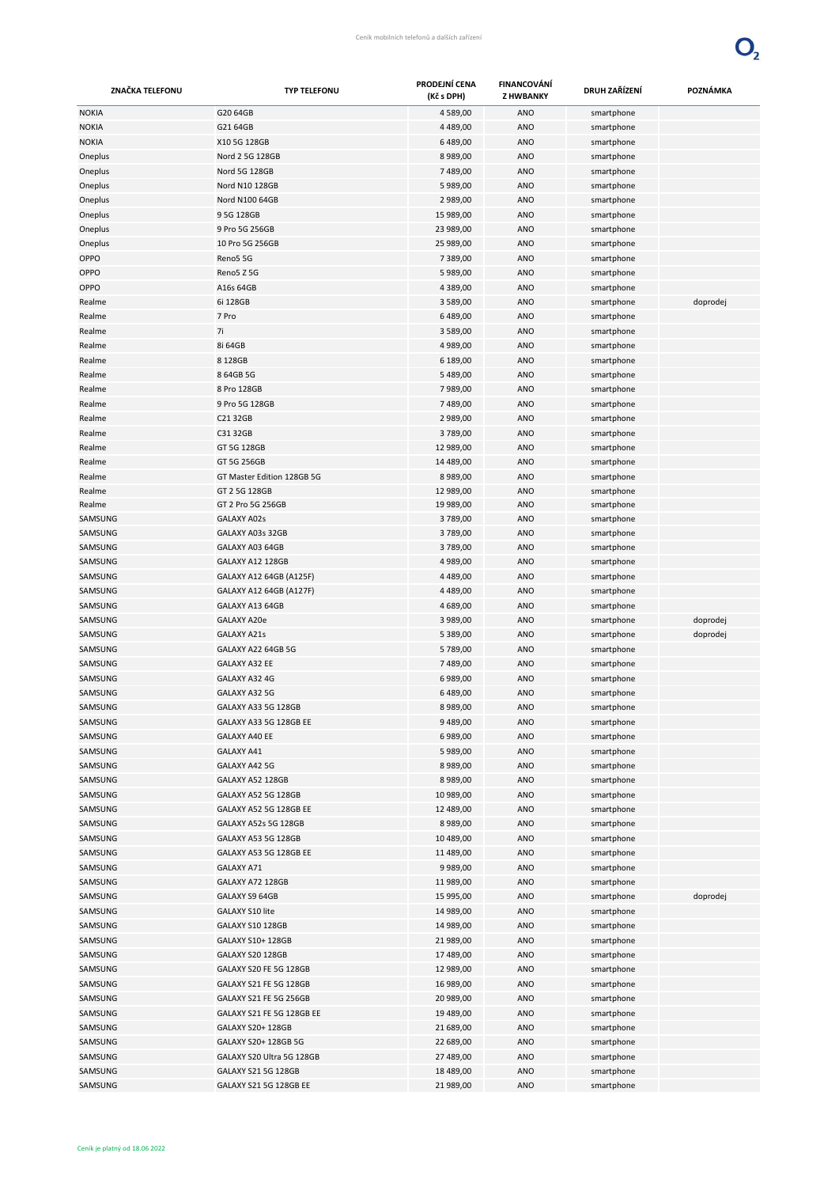

| ZNAČKA TELEFONU | <b>TYP TELEFONU</b>        | PRODEJNÍ CENA<br>(Kč s DPH) | <b>FINANCOVÁNÍ</b><br><b>Z HWBANKY</b> | <b>DRUH ZAŘÍZENÍ</b> | POZNÁMKA |
|-----------------|----------------------------|-----------------------------|----------------------------------------|----------------------|----------|
| <b>NOKIA</b>    | G20 64GB                   | 4 589,00                    | <b>ANO</b>                             | smartphone           |          |
| <b>NOKIA</b>    | G21 64GB                   | 4 4 8 9 , 0 0               | ANO                                    | smartphone           |          |
| <b>NOKIA</b>    | X10 5G 128GB               | 6489,00                     | <b>ANO</b>                             | smartphone           |          |
| Oneplus         | Nord 2 5G 128GB            | 8 989,00                    | ANO                                    | smartphone           |          |
| Oneplus         | Nord 5G 128GB              | 7489,00                     | <b>ANO</b>                             | smartphone           |          |
| Oneplus         | Nord N10 128GB             | 5 989,00                    | <b>ANO</b>                             | smartphone           |          |
| Oneplus         | Nord N100 64GB             | 2 989,00                    | ANO                                    | smartphone           |          |
| Oneplus         | 95G128GB                   | 15 989,00                   | ANO                                    | smartphone           |          |
| Oneplus         | 9 Pro 5G 256GB             | 23 989,00                   | ANO                                    | smartphone           |          |
| Oneplus         | 10 Pro 5G 256GB            | 25 989,00                   | <b>ANO</b>                             | smartphone           |          |
| OPPO            | Reno5 5G                   | 7 389,00                    | ANO                                    | smartphone           |          |
| OPPO            | Reno5 Z 5G                 | 5 989,00                    | <b>ANO</b>                             | smartphone           |          |
| OPPO            | A16s 64GB                  | 4 3 8 9 , 0 0               | <b>ANO</b>                             | smartphone           |          |
| Realme          | 6i 128GB                   | 3 589,00                    | <b>ANO</b>                             | smartphone           | doprodej |
| Realme          | 7 Pro                      | 6 489,00                    | <b>ANO</b>                             | smartphone           |          |
| Realme          | 7i                         | 3 589,00                    | <b>ANO</b>                             | smartphone           |          |
| Realme          | 8i 64GB                    | 4 989,00                    | ANO                                    | smartphone           |          |
| Realme          | 8128GB                     | 6 189,00                    | ANO                                    | smartphone           |          |
| Realme          | 864GB5G                    | 5 489,00                    | <b>ANO</b>                             | smartphone           |          |
| Realme          | 8 Pro 128GB                | 7989,00                     | ANO                                    | smartphone           |          |
| Realme          | 9 Pro 5G 128GB             | 7489,00                     | <b>ANO</b>                             | smartphone           |          |
| Realme          | C21 32GB                   | 2 989,00                    | <b>ANO</b>                             | smartphone           |          |
| Realme          | C31 32GB                   | 3789,00                     | <b>ANO</b>                             | smartphone           |          |
| Realme          | GT 5G 128GB                | 12 989,00                   | <b>ANO</b>                             | smartphone           |          |
| Realme          | GT 5G 256GB                | 14 489,00                   | ANO                                    | smartphone           |          |
| Realme          | GT Master Edition 128GB 5G | 8 989,00                    | ANO                                    | smartphone           |          |
| Realme          | GT 2 5G 128GB              | 12 989,00                   | ANO                                    | smartphone           |          |
| Realme          | GT 2 Pro 5G 256GB          | 19 989,00                   | ANO                                    | smartphone           |          |
| SAMSUNG         | GALAXY A02s                | 3789,00                     | <b>ANO</b>                             | smartphone           |          |
| SAMSUNG         | GALAXY A03s 32GB           | 3789,00                     | ANO                                    | smartphone           |          |
| SAMSUNG         | GALAXY A03 64GB            | 3789,00                     | <b>ANO</b>                             | smartphone           |          |
| SAMSUNG         | GALAXY A12 128GB           | 4 989,00                    | <b>ANO</b>                             | smartphone           |          |
| SAMSUNG         | GALAXY A12 64GB (A125F)    | 4 4 8 9 , 0 0               | <b>ANO</b>                             | smartphone           |          |
| SAMSUNG         | GALAXY A12 64GB (A127F)    | 4 4 8 9,00                  | ANO                                    | smartphone           |          |
| SAMSUNG         | GALAXY A13 64GB            | 4 689,00                    | ANO                                    | smartphone           |          |
| SAMSUNG         | GALAXY A20e                | 3 989,00                    | <b>ANO</b>                             | smartphone           | doprodej |
| SAMSUNG         | GALAXY A21s                | 5 389,00                    | ANO                                    | smartphone           | doprodej |
| SAMSUNG         | GALAXY A22 64GB 5G         | 5789,00                     | <b>ANO</b>                             | smartphone           |          |
| SAMSUNG         | <b>GALAXY A32 EE</b>       | 7489,00                     | ANO                                    | smartphone           |          |
| SAMSUNG         | GALAXY A32 4G              | 6989,00                     | ANO                                    | smartphone           |          |
| SAMSUNG         | GALAXY A32 5G              | 6489,00                     | <b>ANO</b>                             | smartphone           |          |
| SAMSUNG         | GALAXY A33 5G 128GB        | 8989,00                     | ANO                                    | smartphone           |          |
| SAMSUNG         | GALAXY A33 5G 128GB EE     | 9 489,00                    | ANO                                    | smartphone           |          |
| SAMSUNG         | GALAXY A40 EE              | 6989,00                     | ANO                                    | smartphone           |          |
| SAMSUNG         | GALAXY A41                 | 5 989,00                    | ANO                                    | smartphone           |          |
| SAMSUNG         | GALAXY A42 5G              | 8 989,00                    | <b>ANO</b>                             | smartphone           |          |
| SAMSUNG         | GALAXY A52 128GB           | 8989,00                     | <b>ANO</b>                             | smartphone           |          |
| SAMSUNG         | GALAXY A52 5G 128GB        | 10 989,00                   | ANO                                    | smartphone           |          |
| SAMSUNG         | GALAXY A52 5G 128GB EE     | 12 489,00                   | <b>ANO</b>                             | smartphone           |          |
| SAMSUNG         | GALAXY A52s 5G 128GB       | 8 989,00                    | <b>ANO</b>                             | smartphone           |          |
| SAMSUNG         | GALAXY A53 5G 128GB        | 10 489,00                   | <b>ANO</b>                             | smartphone           |          |
| SAMSUNG         | GALAXY A53 5G 128GB EE     | 11 489,00                   | ANO                                    | smartphone           |          |
| SAMSUNG         | GALAXY A71                 | 9989,00                     | <b>ANO</b>                             | smartphone           |          |
| SAMSUNG         | GALAXY A72 128GB           | 11 989,00                   | ANO                                    | smartphone           |          |
| SAMSUNG         | GALAXY S9 64GB             | 15 995,00                   | ANO                                    | smartphone           | doprodej |
| SAMSUNG         | GALAXY S10 lite            | 14 989,00                   | <b>ANO</b>                             | smartphone           |          |
| SAMSUNG         | GALAXY S10 128GB           | 14 989,00                   | <b>ANO</b>                             | smartphone           |          |
| SAMSUNG         | GALAXY S10+ 128GB          | 21 989,00                   | <b>ANO</b>                             | smartphone           |          |
| SAMSUNG         | GALAXY S20 128GB           | 17 489,00                   | ANO                                    | smartphone           |          |
| SAMSUNG         | GALAXY S20 FE 5G 128GB     | 12 989,00                   | <b>ANO</b>                             | smartphone           |          |
| SAMSUNG         | GALAXY S21 FE 5G 128GB     | 16 989,00                   | ANO                                    | smartphone           |          |
| SAMSUNG         | GALAXY S21 FE 5G 256GB     | 20 989,00                   | <b>ANO</b>                             | smartphone           |          |
| SAMSUNG         | GALAXY S21 FE 5G 128GB EE  | 19 489,00                   | ANO                                    | smartphone           |          |
| SAMSUNG         | GALAXY S20+ 128GB          | 21 689,00                   | <b>ANO</b>                             | smartphone           |          |
| SAMSUNG         | GALAXY S20+ 128GB 5G       | 22 689,00                   | <b>ANO</b>                             | smartphone           |          |
| SAMSUNG         | GALAXY S20 Ultra 5G 128GB  | 27 489,00                   | ANO                                    | smartphone           |          |
| SAMSUNG         | GALAXY S21 5G 128GB        | 18 489,00                   | <b>ANO</b>                             | smartphone           |          |
| SAMSUNG         | GALAXY S21 5G 128GB EE     | 21 989,00                   | ANO                                    | smartphone           |          |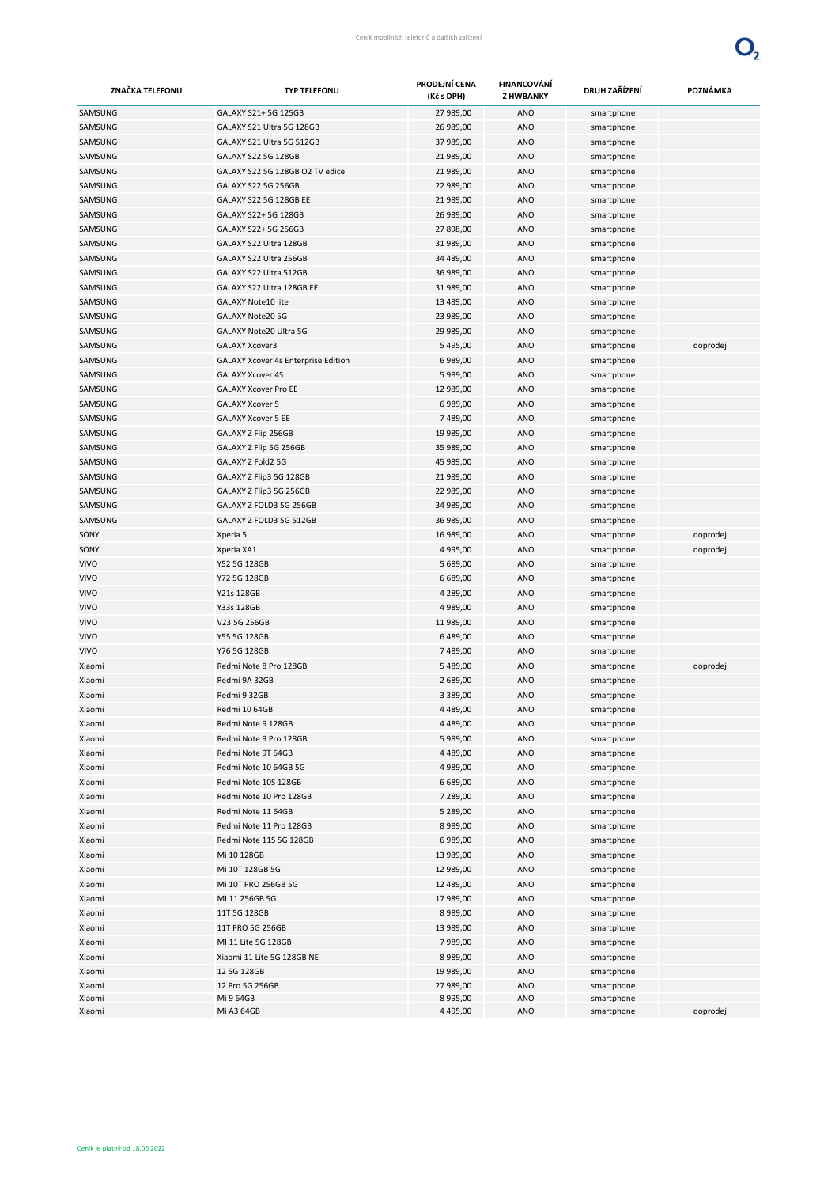

| <b>ZNAČKA TELEFONU</b> | <b>TYP TELEFONU</b>                 | PRODEJNÍ CENA<br>(Kč s DPH) | FINANCOVÁNÍ<br><b>Z HWBANKY</b> | DRUH ZAŘÍZENÍ | POZNÁMKA |
|------------------------|-------------------------------------|-----------------------------|---------------------------------|---------------|----------|
| SAMSUNG                | GALAXY S21+ 5G 125GB                | 27 989,00                   | <b>ANO</b>                      | smartphone    |          |
| SAMSUNG                | GALAXY S21 Ultra 5G 128GB           | 26 989,00                   | <b>ANO</b>                      | smartphone    |          |
| SAMSUNG                | GALAXY S21 Ultra 5G 512GB           | 37 989,00                   | <b>ANO</b>                      | smartphone    |          |
| SAMSUNG                | GALAXY S22 5G 128GB                 | 21 989,00                   | <b>ANO</b>                      | smartphone    |          |
| SAMSUNG                | GALAXY S22 5G 128GB O2 TV edice     | 21 989,00                   | <b>ANO</b>                      | smartphone    |          |
| SAMSUNG                | <b>GALAXY S22 5G 256GB</b>          | 22 989,00                   | <b>ANO</b>                      | smartphone    |          |
| SAMSUNG                | GALAXY S22 5G 128GB EE              | 21 989,00                   | <b>ANO</b>                      | smartphone    |          |
| SAMSUNG                | GALAXY S22+ 5G 128GB                | 26 989,00                   | <b>ANO</b>                      | smartphone    |          |
| SAMSUNG                | GALAXY S22+ 5G 256GB                | 27 898,00                   | <b>ANO</b>                      | smartphone    |          |
| SAMSUNG                | GALAXY S22 Ultra 128GB              | 31 989,00                   | <b>ANO</b>                      | smartphone    |          |
| SAMSUNG                | GALAXY S22 Ultra 256GB              | 34 489,00                   | <b>ANO</b>                      | smartphone    |          |
| SAMSUNG                | GALAXY S22 Ultra 512GB              | 36 989,00                   | <b>ANO</b>                      | smartphone    |          |
| SAMSUNG                | GALAXY S22 Ultra 128GB EE           | 31 989,00                   | <b>ANO</b>                      | smartphone    |          |
| SAMSUNG                | <b>GALAXY Note10 lite</b>           | 13 489,00                   | <b>ANO</b>                      | smartphone    |          |
| SAMSUNG                | GALAXY Note20 5G                    | 23 989,00                   | <b>ANO</b>                      | smartphone    |          |
| SAMSUNG                | GALAXY Note20 Ultra 5G              | 29 989,00                   | <b>ANO</b>                      | smartphone    |          |
| SAMSUNG                | GALAXY Xcover3                      | 5 495,00                    | <b>ANO</b>                      | smartphone    | doprodej |
| SAMSUNG                | GALAXY Xcover 4s Enterprise Edition | 6989,00                     | <b>ANO</b>                      | smartphone    |          |
| SAMSUNG                | <b>GALAXY Xcover 4S</b>             | 5989,00                     | <b>ANO</b>                      | smartphone    |          |
| SAMSUNG                | <b>GALAXY Xcover Pro EE</b>         | 12 989,00                   | <b>ANO</b>                      | smartphone    |          |
| SAMSUNG                | <b>GALAXY Xcover 5</b>              | 6 989,00                    | <b>ANO</b>                      | smartphone    |          |
| SAMSUNG                | <b>GALAXY Xcover 5 EE</b>           | 7 489,00                    | <b>ANO</b>                      | smartphone    |          |
| SAMSUNG                | GALAXY Z Flip 256GB                 | 19 989,00                   | <b>ANO</b>                      | smartphone    |          |
| SAMSUNG                | GALAXY Z Flip 5G 256GB              | 35 989,00                   | <b>ANO</b>                      | smartphone    |          |
| SAMSUNG                | GALAXY Z Fold2 5G                   | 45 989,00                   | <b>ANO</b>                      | smartphone    |          |
| SAMSUNG                | GALAXY Z Flip3 5G 128GB             | 21 989,00                   | <b>ANO</b>                      | smartphone    |          |
| SAMSUNG                | GALAXY Z Flip3 5G 256GB             | 22 989,00                   | <b>ANO</b>                      | smartphone    |          |
| SAMSUNG                | GALAXY Z FOLD3 5G 256GB             | 34 989,00                   | <b>ANO</b>                      | smartphone    |          |
| SAMSUNG                | GALAXY Z FOLD3 5G 512GB             | 36 989,00                   | <b>ANO</b>                      | smartphone    |          |
| SONY                   | Xperia 5                            | 16 989,00                   | <b>ANO</b>                      | smartphone    | doprodej |
| SONY                   | Xperia XA1                          | 4 9 9 5 ,00                 | <b>ANO</b>                      | smartphone    | doprodej |
| <b>VIVO</b>            | Y52 5G 128GB                        | 5 689,00                    | <b>ANO</b>                      | smartphone    |          |
| <b>VIVO</b>            | Y72 5G 128GB                        | 6 689,00                    | <b>ANO</b>                      | smartphone    |          |
| <b>VIVO</b>            | Y21s 128GB                          | 4 289,00                    | <b>ANO</b>                      | smartphone    |          |
| <b>VIVO</b>            | Y33s 128GB                          | 4 989,00                    | <b>ANO</b>                      | smartphone    |          |
| <b>VIVO</b>            | V23 5G 256GB                        | 11 989,00                   | <b>ANO</b>                      | smartphone    |          |
| <b>VIVO</b>            | Y55 5G 128GB                        | 6 489,00                    | <b>ANO</b>                      | smartphone    |          |
| <b>VIVO</b>            | Y76 5G 128GB                        | 7 489,00                    | <b>ANO</b>                      | smartphone    |          |
| Xiaomi                 | Redmi Note 8 Pro 128GB              | 5 489,00                    | <b>ANO</b>                      | smartphone    | doprodej |
| Xiaomi                 | Redmi 9A 32GB                       | 2 689,00                    | <b>ANO</b>                      | smartphone    |          |
| Xiaomi                 | Redmi 9 32GB                        | 3 3 8 9 , 0 0               | <b>ANO</b>                      | smartphone    |          |
| Xiaomi                 | Redmi 10 64GB                       | 4 4 8 9,00                  | ANO                             | smartphone    |          |
| Xiaomi                 | Redmi Note 9 128GB                  | 4 4 8 9 , 0 0               | ANO                             | smartphone    |          |
| Xiaomi                 | Redmi Note 9 Pro 128GB              | 5 989,00                    | ANO                             | smartphone    |          |
| Xiaomi                 | Redmi Note 9T 64GB                  | 4 4 8 9,00                  | ANO                             | smartphone    |          |
| Xiaomi                 | Redmi Note 10 64GB 5G               | 4 989,00                    | ANO                             | smartphone    |          |
| Xiaomi                 | Redmi Note 10S 128GB                | 6 689,00                    | ANO                             | smartphone    |          |
| Xiaomi                 | Redmi Note 10 Pro 128GB             | 7 289,00                    | ANO                             | smartphone    |          |
| Xiaomi                 | Redmi Note 11 64GB                  | 5 289,00                    | ANO                             | smartphone    |          |
| Xiaomi                 | Redmi Note 11 Pro 128GB             | 8 989,00                    | ANO                             | smartphone    |          |
| Xiaomi                 | Redmi Note 11S 5G 128GB             | 6989,00                     | ANO                             | smartphone    |          |
| Xiaomi                 | Mi 10 128GB                         | 13 989,00                   | ANO                             | smartphone    |          |
| Xiaomi                 | Mi 10T 128GB 5G                     | 12 989,00                   | ANO                             | smartphone    |          |
| Xiaomi                 | Mi 10T PRO 256GB 5G                 | 12 489,00                   | ANO                             | smartphone    |          |
| Xiaomi                 | MI 11 256GB 5G                      | 17 989,00                   | ANO                             | smartphone    |          |
| Xiaomi                 | 11T 5G 128GB                        | 8 989,00                    | ANO                             | smartphone    |          |
| Xiaomi                 | 11T PRO 5G 256GB                    | 13 989,00                   | ANO                             | smartphone    |          |
| Xiaomi                 | MI 11 Lite 5G 128GB                 | 7989,00                     | ANO                             | smartphone    |          |
| Xiaomi                 | Xiaomi 11 Lite 5G 128GB NE          | 8989,00                     | ANO                             | smartphone    |          |
| Xiaomi                 | 12 5G 128GB                         | 19 989,00                   | ANO                             | smartphone    |          |
| Xiaomi                 | 12 Pro 5G 256GB                     | 27 989,00                   | ANO                             | smartphone    |          |
| Xiaomi                 | Mi 9 64GB                           | 8 9 9 5 , 0 0               | ANO                             | smartphone    |          |
| Xiaomi                 | Mi A3 64GB                          | 4 4 9 5 , 0 0               | ANO                             | smartphone    | doprodej |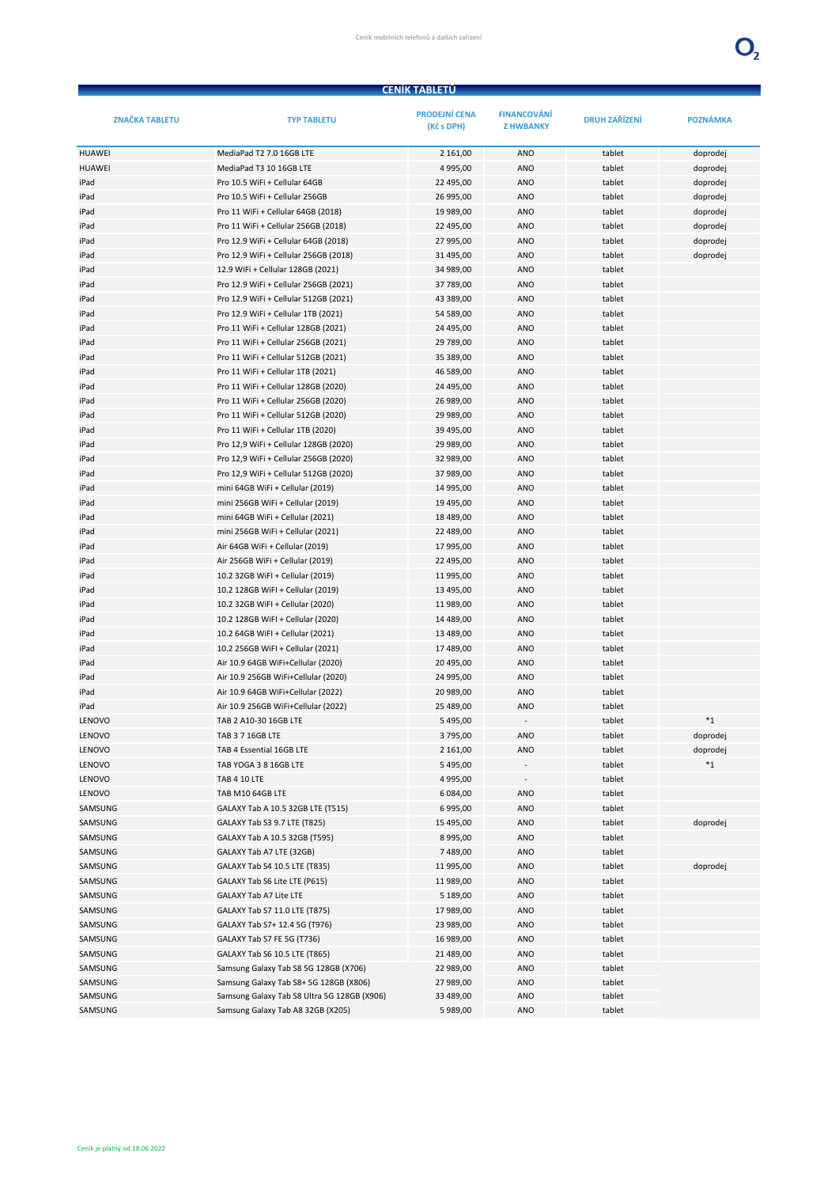

|                       | <b>CENIK TABLETŮ</b>                        |                                    |                                        |                      |                 |
|-----------------------|---------------------------------------------|------------------------------------|----------------------------------------|----------------------|-----------------|
| <b>ZNAČKA TABLETU</b> | <b>TYP TABLETU</b>                          | <b>PRODEJNÍ CENA</b><br>(Kč s DPH) | <b>FINANCOVÁNÍ</b><br><b>Z HWBANKY</b> | <b>DRUH ZAŘÍZENÍ</b> | <b>POZNÁMKA</b> |
| <b>HUAWEI</b>         | MediaPad T2 7.0 16GB LTE                    | 2 161,00                           | <b>ANO</b>                             | tablet               | doprodej        |
| <b>HUAWEI</b>         | MediaPad T3 10 16GB LTE                     | 4 9 9 5 , 0 0                      | <b>ANO</b>                             | tablet               | doprodej        |
| iPad                  | Pro 10.5 WiFi + Cellular 64GB               | 22 495,00                          | <b>ANO</b>                             | tablet               | doprodej        |
| iPad                  | Pro 10.5 WiFi + Cellular 256GB              | 26 995,00                          | <b>ANO</b>                             | tablet               | doprodej        |
| iPad                  | Pro 11 WiFi + Cellular 64GB (2018)          | 19 989,00                          | <b>ANO</b>                             | tablet               | doprodej        |
| iPad                  | Pro 11 WiFi + Cellular 256GB (2018)         | 22 495,00                          | <b>ANO</b>                             | tablet               | doprodej        |
| iPad                  | Pro 12.9 WiFi + Cellular 64GB (2018)        | 27 995,00                          | <b>ANO</b>                             | tablet               | doprodej        |
| iPad                  | Pro 12.9 WiFi + Cellular 256GB (2018)       | 31 495,00                          | ANO                                    | tablet               | doprodej        |
| iPad                  | 12.9 WiFi + Cellular 128GB (2021)           | 34 989,00                          | <b>ANO</b>                             | tablet               |                 |
| iPad                  | Pro 12.9 WiFi + Cellular 256GB (2021)       | 37 789,00                          | <b>ANO</b>                             | tablet               |                 |
| iPad                  | Pro 12.9 WiFi + Cellular 512GB (2021)       | 43 389,00                          | <b>ANO</b>                             | tablet               |                 |
| iPad                  | Pro 12.9 WiFi + Cellular 1TB (2021)         | 54 589,00                          | <b>ANO</b>                             | tablet               |                 |
| iPad                  | Pro 11 WiFi + Cellular 128GB (2021)         | 24 495,00                          | <b>ANO</b>                             | tablet               |                 |
| iPad                  | Pro 11 WiFi + Cellular 256GB (2021)         | 29 789,00                          | <b>ANO</b>                             | tablet               |                 |
| iPad                  | Pro 11 WiFi + Cellular 512GB (2021)         | 35 389,00                          | <b>ANO</b>                             | tablet               |                 |
| iPad                  | Pro 11 WiFi + Cellular 1TB (2021)           | 46 589,00                          | <b>ANO</b>                             | tablet               |                 |
| iPad                  | Pro 11 WiFi + Cellular 128GB (2020)         | 24 495,00                          | <b>ANO</b>                             | tablet               |                 |
| iPad                  | Pro 11 WiFi + Cellular 256GB (2020)         | 26 989,00                          | <b>ANO</b>                             | tablet               |                 |
| iPad                  | Pro 11 WiFi + Cellular 512GB (2020)         | 29 989,00                          | <b>ANO</b>                             | tablet               |                 |
| iPad                  | Pro 11 WiFi + Cellular 1TB (2020)           | 39 495,00                          | <b>ANO</b>                             | tablet               |                 |
| iPad                  | Pro 12,9 WiFi + Cellular 128GB (2020)       | 29 989,00                          | <b>ANO</b>                             | tablet               |                 |
| iPad                  | Pro 12,9 WiFi + Cellular 256GB (2020)       | 32 989,00                          | <b>ANO</b>                             | tablet               |                 |
| iPad                  | Pro 12,9 WiFi + Cellular 512GB (2020)       | 37 989,00                          | <b>ANO</b>                             | tablet               |                 |
| iPad                  | mini 64GB WiFi + Cellular (2019)            | 14 995,00                          | <b>ANO</b>                             | tablet               |                 |
| iPad                  | mini 256GB WiFi + Cellular (2019)           | 19 495,00                          | <b>ANO</b>                             | tablet               |                 |
| iPad                  | mini 64GB WiFi + Cellular (2021)            | 18 489,00                          | <b>ANO</b>                             | tablet               |                 |
| iPad                  | mini 256GB WiFi + Cellular (2021)           | 22 489,00                          | <b>ANO</b>                             | tablet               |                 |
| iPad                  | Air 64GB WiFi + Cellular (2019)             | 17 995,00                          | <b>ANO</b>                             | tablet               |                 |
| iPad                  | Air 256GB WiFi + Cellular (2019)            | 22 495,00                          | <b>ANO</b>                             | tablet               |                 |
| iPad                  | 10.2 32GB WiFI + Cellular (2019)            | 11 995,00                          | <b>ANO</b>                             | tablet               |                 |
| iPad                  | 10.2 128GB WiFI + Cellular (2019)           | 13 495,00                          | <b>ANO</b>                             | tablet               |                 |
| iPad                  | 10.2 32GB WiFI + Cellular (2020)            | 11 989,00                          | <b>ANO</b>                             | tablet               |                 |
| iPad                  | 10.2 128GB WiFI + Cellular (2020)           | 14 489,00                          | <b>ANO</b>                             | tablet               |                 |
| iPad                  | 10.2 64GB WiFI + Cellular (2021)            | 13 489,00                          | <b>ANO</b>                             | tablet               |                 |
| iPad                  | 10.2 256GB WiFI + Cellular (2021)           | 17 489,00                          | <b>ANO</b>                             | tablet               |                 |
| iPad                  | Air 10.9 64GB WiFi+Cellular (2020)          | 20 495,00                          | <b>ANO</b>                             | tablet               |                 |
| iPad                  | Air 10.9 256GB WiFi+Cellular (2020)         | 24 995,00                          | <b>ANO</b>                             | tablet               |                 |
| iPad                  | Air 10.9 64GB WiFi+Cellular (2022)          | 20 989,00                          | <b>ANO</b>                             | tablet               |                 |
| iPad                  | Air 10.9 256GB WiFi+Cellular (2022)         | 25 489,00                          | <b>ANO</b>                             | tablet               |                 |
| LENOVO                | TAB 2 A10-30 16GB LTE                       | 5 495,00                           | $\overline{\phantom{a}}$               | tablet               | $^\ast1$        |
| LENOVO                | TAB 3 7 16GB LTE                            | 3795,00                            | <b>ANO</b>                             | tablet               | doprodej        |
| LENOVO                | TAB 4 Essential 16GB LTE                    | 2 161,00                           | ANO                                    | tablet               | doprodej        |
| LENOVO                | TAB YOGA 3 8 16GB LTE                       | 5 495,00                           |                                        | tablet               | $^\ast1$        |
| LENOVO                | <b>TAB 4 10 LTE</b>                         | 4 995,00                           |                                        | tablet               |                 |
| LENOVO                | TAB M10 64GB LTE                            | 6 084,00                           | ANO                                    | tablet               |                 |
| SAMSUNG               | GALAXY Tab A 10.5 32GB LTE (T515)           | 6 995,00                           | ANO                                    | tablet               |                 |
| SAMSUNG               | GALAXY Tab S3 9.7 LTE (T825)                | 15 495,00                          | ANO                                    | tablet               | doprodej        |
| SAMSUNG               | GALAXY Tab A 10.5 32GB (T595)               | 8 9 9 5 , 0 0                      | ANO                                    | tablet               |                 |
| SAMSUNG               | GALAXY Tab A7 LTE (32GB)                    | 7489,00                            | ANO                                    | tablet               |                 |
| SAMSUNG               | GALAXY Tab S4 10.5 LTE (T835)               | 11 995,00                          | ANO                                    | tablet               | doprodej        |
| SAMSUNG               | GALAXY Tab S6 Lite LTE (P615)               | 11 989,00                          | ANO                                    | tablet               |                 |
| SAMSUNG               | GALAXY Tab A7 Lite LTE                      | 5 189,00                           | ANO                                    | tablet               |                 |
| SAMSUNG               | GALAXY Tab S7 11.0 LTE (T875)               | 17 989,00                          | ANO                                    | tablet               |                 |
| SAMSUNG               | GALAXY Tab S7+ 12.4 5G (T976)               | 23 989,00                          | ANO                                    | tablet               |                 |
| SAMSUNG               | GALAXY Tab S7 FE 5G (T736)                  | 16 989,00                          | ANO                                    | tablet               |                 |
| SAMSUNG               | GALAXY Tab S6 10.5 LTE (T865)               | 21 489,00                          | ANO                                    | tablet               |                 |
| SAMSUNG               | Samsung Galaxy Tab S8 5G 128GB (X706)       | 22 989,00                          | ANO                                    | tablet               |                 |
| SAMSUNG               | Samsung Galaxy Tab S8+ 5G 128GB (X806)      | 27 989,00                          | ANO                                    | tablet               |                 |
| SAMSUNG               | Samsung Galaxy Tab S8 Ultra 5G 128GB (X906) | 33 489,00                          | ANO                                    | tablet               |                 |
| SAMSUNG               | Samsung Galaxy Tab A8 32GB (X205)           | 5989,00                            | ANO                                    | tablet               |                 |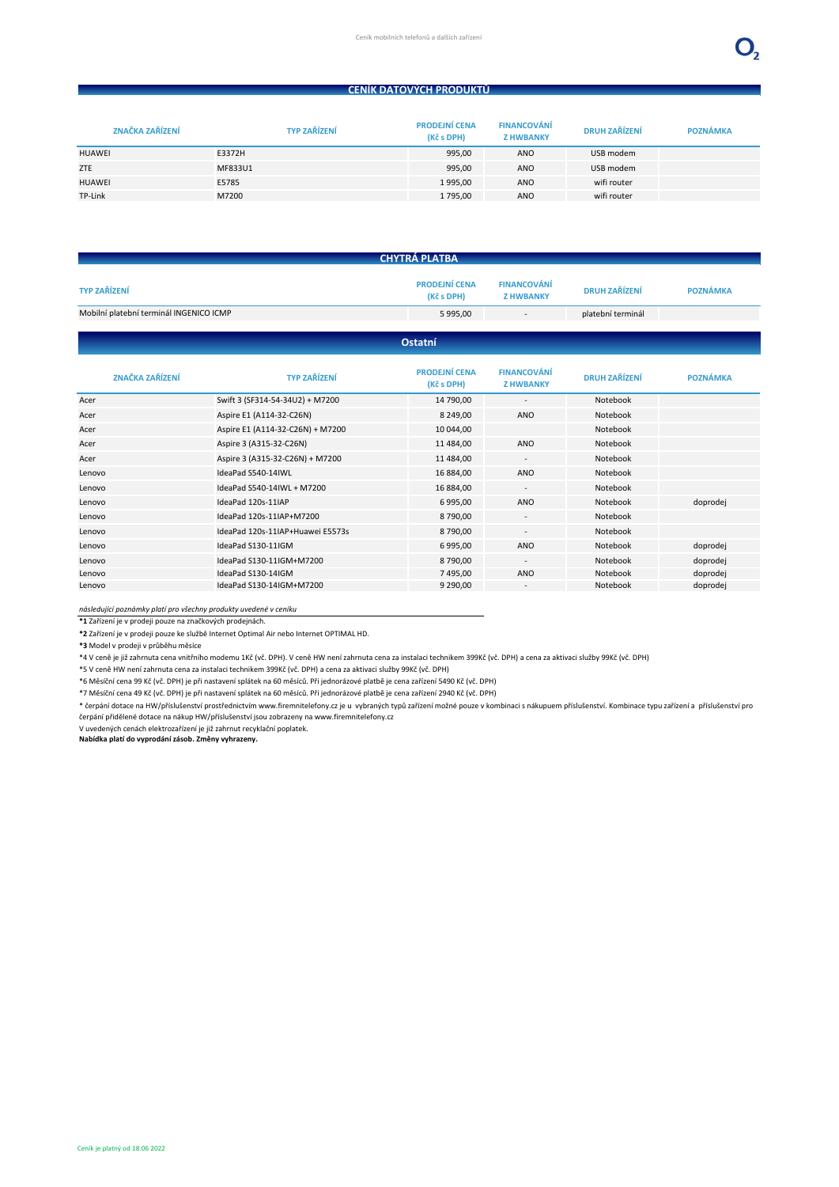

### **CENÍK DATOVÝCH PRODUKTŮ**

| ZNAČKA ZAŘÍZENÍ | <b>TYP ZAŘÍZENÍ</b> | <b>PRODEJNÍ CENA</b><br>(Kč s DPH) | <b>FINANCOVÁNÍ</b><br><b>Z HWBANKY</b> | <b>DRUH ZAŘÍZENÍ</b> | <b>POZNÁMKA</b> |
|-----------------|---------------------|------------------------------------|----------------------------------------|----------------------|-----------------|
| <b>HUAWEI</b>   | E3372H              | 995,00                             | ANO                                    | USB modem            |                 |
| ZTE             | MF833U1             | 995.00                             | ANO                                    | USB modem            |                 |
| <b>HUAWEI</b>   | E5785               | 1995.00                            | ANO                                    | wifi router          |                 |
| TP-Link         | M7200               | 1795,00                            | ANO                                    | wifi router          |                 |

| <b>CHYTRÁ PLATBA</b>               |                                        |                      |                 |  |
|------------------------------------|----------------------------------------|----------------------|-----------------|--|
| <b>PRODEJNÍ CENA</b><br>(Kč s DPH) | <b>FINANCOVÁNÍ</b><br><b>Z HWBANKY</b> | <b>DRUH ZAŘÍZENÍ</b> | <b>POZNÁMKA</b> |  |
| 5995.00                            | $\overline{\phantom{0}}$               | platební terminál    |                 |  |
|                                    |                                        |                      |                 |  |

**Ostatní**

| ZNAČKA ZAŘÍZENÍ | <b>TYP ZAŘÍZENÍ</b>              | <b>PRODEJNÍ CENA</b><br>(Kč s DPH) | <b>FINANCOVÁNÍ</b><br><b>Z HWBANKY</b> | <b>DRUH ZAŘÍZENÍ</b> | <b>POZNÁMKA</b> |
|-----------------|----------------------------------|------------------------------------|----------------------------------------|----------------------|-----------------|
| Acer            | Swift 3 (SF314-54-34U2) + M7200  | 14 790,00                          | $\overline{\phantom{a}}$               | Notebook             |                 |
| Acer            | Aspire E1 (A114-32-C26N)         | 8 249,00                           | <b>ANO</b>                             | Notebook             |                 |
| Acer            | Aspire E1 (A114-32-C26N) + M7200 | 10 044,00                          |                                        | Notebook             |                 |
| Acer            | Aspire 3 (A315-32-C26N)          | 11 484,00                          | <b>ANO</b>                             | Notebook             |                 |
| Acer            | Aspire 3 (A315-32-C26N) + M7200  | 11 484,00                          | $\overline{\phantom{a}}$               | Notebook             |                 |
| Lenovo          | IdeaPad S540-14IWL               | 16 884,00                          | <b>ANO</b>                             | Notebook             |                 |
| Lenovo          | IdeaPad S540-14IWL + M7200       | 16 884,00                          | $\overline{\phantom{a}}$               | Notebook             |                 |
| Lenovo          | IdeaPad 120s-11IAP               | 6995,00                            | <b>ANO</b>                             | Notebook             | doprodej        |
| Lenovo          | IdeaPad 120s-11IAP+M7200         | 8790,00                            | $\overline{\phantom{a}}$               | Notebook             |                 |
| Lenovo          | IdeaPad 120s-11IAP+Huawei E5573s | 8790,00                            | $\overline{\phantom{a}}$               | Notebook             |                 |
| Lenovo          | IdeaPad S130-11IGM               | 6995,00                            | <b>ANO</b>                             | Notebook             | doprodej        |
| Lenovo          | IdeaPad S130-11IGM+M7200         | 8790,00                            | $\overline{\phantom{a}}$               | Notebook             | doprodej        |
| Lenovo          | IdeaPad S130-14IGM               | 7495,00                            | <b>ANO</b>                             | Notebook             | doprodej        |
| Lenovo          | IdeaPad S130-14IGM+M7200         | 9 290,00                           | $\overline{\phantom{a}}$               | Notebook             | doprodej        |

*následující poznámky platí pro všechny produkty uvedené v ceníku*

**\*1** Zařízení je v prodeji pouze na značkových prodejnách.

**\*2** Zařízení je v prodeji pouze ke službě Internet Optimal Air nebo Internet OPTIMAL HD.

**\*3** Model v prodeji v průběhu měsíce

\*4 V ceně je již zahrnuta cena vnitřního modemu 1Kč (vč. DPH). V ceně HW není zahrnuta cena za instalaci technikem 399Kč (vč. DPH) a cena za aktivaci služby 99Kč (vč. DPH)

\*5 V ceně HW není zahrnuta cena za instalaci technikem 399Kč (vč. DPH) a cena za aktivaci služby 99Kč (vč. DPH)

\*6 Měsíční cena 99 Kč (vč. DPH) je při nastavení splátek na 60 měsíců. Při jednorázové platbě je cena zařízení 5490 Kč (vč. DPH)

\*7 Měsíční cena 49 Kč (vč. DPH) je při nastavení splátek na 60 měsíců. Při jednorázové platbě je cena zařízení 2940 Kč (vč. DPH)

\* čerpání dotace na HW/příslušenství prostřednictvím www.firemnitelefony.cz je u vybraných typů zařízení možné pouze v kombinaci s nákupuem příslušenství. Kombinace typu zařízení a příslušenství pro<br>čerpání přidělené dota

V uvedených cenách elektrozařízení je již zahrnut recyklační poplatek.

**Nabídka platí do vyprodání zásob. Změny vyhrazeny.**